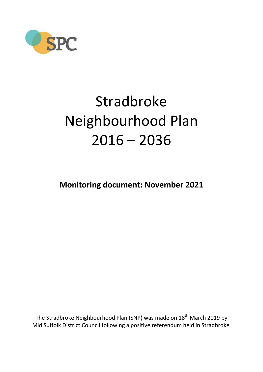

# Stradbroke Neighbourhood Plan 2016 – 2036

**Monitoring document: November 2021**

The Stradbroke Neighbourhood Plan (SNP) was made on 18<sup>th</sup> March 2019 by Mid Suffolk District Council following a positive referendum held in Stradbroke.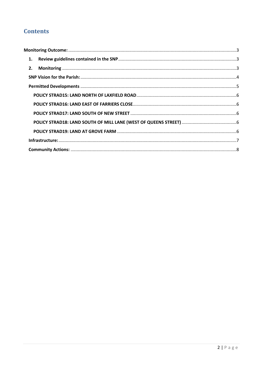# **Contents**

| 1. |  |
|----|--|
| 2. |  |
|    |  |
|    |  |
|    |  |
|    |  |
|    |  |
|    |  |
|    |  |
|    |  |
|    |  |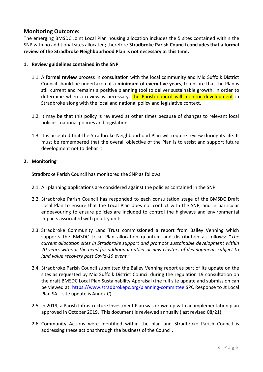# <span id="page-2-0"></span>**Monitoring Outcome:**

The emerging BMSDC Joint Local Plan housing allocation includes the 5 sites contained within the SNP with no additional sites allocated; therefore **Stradbroke Parish Council concludes that a formal review of the Stradbroke Neighbourhood Plan is not necessary at this time.**

#### <span id="page-2-1"></span>**1. Review guidelines contained in the SNP**

- 1.1. A **formal review** process in consultation with the local community and Mid Suffolk District Council should be undertaken at a **minimum of every five years**, to ensure that the Plan is still current and remains a positive planning tool to deliver sustainable growth. In order to determine when a review is necessary, the Parish council will monitor development in Stradbroke along with the local and national policy and legislative context.
- 1.2. It may be that this policy is reviewed at other times because of changes to relevant local policies, national policies and legislation.
- 1.3. It is accepted that the Stradbroke Neighbourhood Plan will require review during its life. It must be remembered that the overall objective of the Plan is to assist and support future development not to debar it.

#### <span id="page-2-2"></span>**2. Monitoring**

Stradbroke Parish Council has monitored the SNP as follows:

- 2.1. All planning applications are considered against the policies contained in the SNP.
- 2.2. Stradbroke Parish Council has responded to each consultation stage of the BMSDC Draft Local Plan to ensure that the Local Plan does not conflict with the SNP, and in particular endeavouring to ensure policies are included to control the highways and environmental impacts associated with poultry units.
- 2.3. Stradbroke Community Land Trust commissioned a report from Bailey Venning which supports the BMSDC Local Plan allocation quantum and distribution as follows: "*The current allocation sites in Stradbroke support and promote sustainable development within 20 years without the need for additional outlier or new clusters of development, subject to land value recovery post Covid-19 event."*
- 2.4. Stradbroke Parish Council submitted the Bailey Venning report as part of its update on the sites as requested by Mid Suffolk District Council during the regulation 19 consultation on the draft BMSDC Local Plan Sustainability Appraisal (the full site update and submission can be viewed at: <https://www.stradbrokepc.org/planning-committee> SPC Response to Jt Local Plan SA – site update is Annex C)
- 2.5. In 2019, a Parish Infrastructure Investment Plan was drawn up with an implementation plan approved in October 2019. This document is reviewed annually (last revised 08/21).
- 2.6. Community Actions were identified within the plan and Stradbroke Parish Council is addressing these actions through the business of the Council.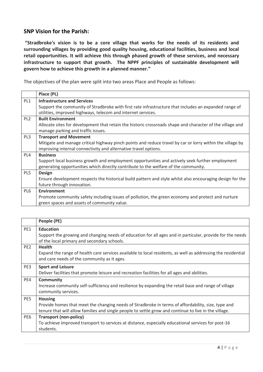#### <span id="page-3-0"></span>**SNP Vision for the Parish:**

**"Stradbroke's vision is to be a core village that works for the needs of its residents and surrounding villages by providing good quality housing, educational facilities, business and local retail opportunities. It will achieve this through phased growth of these services, and necessary infrastructure to support that growth. The NPPF principles of sustainable development will govern how to achieve this growth in a planned manner."**

The objectives of the plan were split into two areas Place and People as follows:

|                 | Place (PL)                                                                                                |  |  |
|-----------------|-----------------------------------------------------------------------------------------------------------|--|--|
| PL1             | <b>Infrastructure and Services</b>                                                                        |  |  |
|                 | Support the community of Stradbroke with first rate infrastructure that includes an expanded range of     |  |  |
|                 | utilities, improved highways, telecom and internet services.                                              |  |  |
| PL <sub>2</sub> | <b>Built Environment</b>                                                                                  |  |  |
|                 | Allocate sites for development that retain the historic crossroads shape and character of the village and |  |  |
|                 | manage parking and traffic issues.                                                                        |  |  |
| PL3             | <b>Transport and Movement</b>                                                                             |  |  |
|                 | Mitigate and manage critical highway pinch points and reduce travel by car or lorry within the village by |  |  |
|                 | improving internal connectivity and alternative travel options.                                           |  |  |
| PL4             | <b>Business</b>                                                                                           |  |  |
|                 | Support local business growth and employment opportunities and actively seek further employment           |  |  |
|                 | generating opportunities which directly contribute to the welfare of the community.                       |  |  |
| PL5             | <b>Design</b>                                                                                             |  |  |
|                 | Ensure development respects the historical build pattern and style whilst also encouraging design for the |  |  |
|                 | future through innovation.                                                                                |  |  |
| PL6             | <b>Environment</b>                                                                                        |  |  |
|                 | Promote community safety including issues of pollution, the green economy and protect and nurture         |  |  |
|                 | green spaces and assets of community value.                                                               |  |  |

|                 | People (PE)                                                                                                                                                                                                                   |
|-----------------|-------------------------------------------------------------------------------------------------------------------------------------------------------------------------------------------------------------------------------|
| PE1             | <b>Education</b><br>Support the growing and changing needs of education for all ages and in particular, provide for the needs<br>of the local primary and secondary schools.                                                  |
| PE <sub>2</sub> | <b>Health</b><br>Expand the range of health care services available to local residents, as well as addressing the residential<br>and care needs of the community as it ages.                                                  |
| PE3             | <b>Sport and Leisure</b><br>Deliver facilities that promote leisure and recreation facilities for all ages and abilities.                                                                                                     |
| PE4             | <b>Community</b><br>Increase community self-sufficiency and resilience by expanding the retail base and range of village<br>community services.                                                                               |
| PE5             | <b>Housing</b><br>Provide homes that meet the changing needs of Stradbroke in terms of affordability, size, type and<br>tenure that will allow families and single people to settle grow and continue to live in the village. |
| PE6             | <b>Transport (non-policy)</b><br>To achieve improved transport to services at distance, especially educational services for post-16<br>students.                                                                              |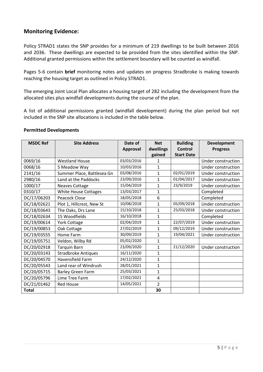# **Monitoring Evidence:**

Policy STRAD1 states the SNP provides for a minimum of 219 dwellings to be built between 2016 and 2036. These dwellings are expected to be provided from the sites identified within the SNP. Additional granted permissions within the settlement boundary will be counted as windfall.

Pages 5-6 contain **brief** monitoring notes and updates on progress Stradbroke is making towards reaching the housing target as outlined in Policy STRAD1.

The emerging Joint Local Plan allocates a housing target of 282 including the development from the allocated sites plus windfall developments during the course of the plan.

A list of additional permissions granted (windfall development) during the plan period but not included in the SNP site allocations is included in the table below.

#### <span id="page-4-0"></span>**Permitted Developments**

| <b>MSDC Ref</b> | <b>Site Address</b>        | Date of         | <b>Net</b>     | <b>Building</b>   | <b>Development</b> |
|-----------------|----------------------------|-----------------|----------------|-------------------|--------------------|
|                 |                            | <b>Approval</b> | dwellings      | <b>Control</b>    | <b>Progress</b>    |
|                 |                            |                 | gained         | <b>Start Date</b> |                    |
| 0069/16         | <b>Westland House</b>      | 03/03/2016      | 1              |                   | Under construction |
| 0068/16         | 5 Meadow Way               | 10/03/2016      | 1              |                   | Under construction |
| 2141/16         | Summer Place, Battlesea Gn | 03/08/2016      | $\mathbf{1}$   | 02/01/2019        | Under construction |
| 2980/16         | Land at the Paddocks       | 23/09/2016      | $\mathbf{1}$   | 01/04/2017        | Under construction |
| 1000/17         | <b>Neaves Cottage</b>      | 15/04/2019      | 1              | 23/9/2019         | Under construction |
| 0310/17         | White House Cottages       |                 | $\mathbf 1$    |                   | Completed          |
| DC/17/06203     | Peacock Close              | 18/05/2018      | 6              |                   | Completed          |
| DC/18/02621     | Plot 1, Hillcrest, New St  | 10/08/2018      | 1              | 05/09/2018        | Under construction |
| DC/18/03643     | The Oaks, Drs Lane         | 15/10/2018      | 1              | 25/03/2018        | Under construction |
| DC/18/02634     | 15 Woodfields              | 16/10/2018      | 1              |                   | Completed          |
| DC/19/00614     | <b>York Cottage</b>        | 02/04/2019      | 1              | 22/07/2019        | Under construction |
| DC/19/00853     | Oak Cottage                | 27/02/2019      | $\mathbf 1$    | 09/12/2019        | Under construction |
| DC/19/03555     | Home Farm                  | 30/09/2019      | $\mathbf 1$    | 19/04/2021        | Under construction |
| DC/19/05751     | Veldon, Wilby Rd           | 05/02/2020      | 1              |                   |                    |
| DC/20/02918     | <b>Tarquin Barn</b>        | 23/09/2020      | 1              | 21/12/2020        | Under construction |
| DC/20/03143     | <b>Stradbroke Antiques</b> | 16/11/2020      | $\mathbf 1$    |                   |                    |
| DC/20/04570     | Havensfield Farm           | 24/12/2020      | $\mathbf 1$    |                   |                    |
| DC/20/05543     | Land rear of Windrush      | 28/01/2021      | 1              |                   |                    |
| DC/20/05715     | <b>Barley Green Farm</b>   | 25/03/2021      | $\mathbf 1$    |                   |                    |
| DC/20/05796     | Lime Tree Farm             | 17/02/2021      | 4              |                   |                    |
| DC/21/01462     | <b>Red House</b>           | 14/05/2021      | $\overline{2}$ |                   |                    |
| <b>Total</b>    |                            |                 | 30             |                   |                    |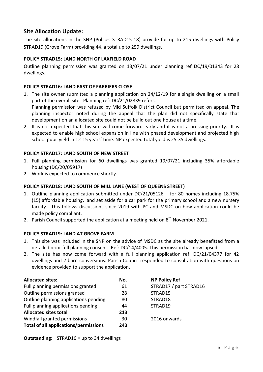## **Site Allocation Update:**

The site allocations in the SNP (Polices STRAD15-18) provide for up to 215 dwellings with Policy STRAD19 (Grove Farm) providing 44, a total up to 259 dwellings.

#### <span id="page-5-0"></span>**POLICY STRAD15: LAND NORTH OF LAXFIELD ROAD**

Outline planning permission was granted on 13/07/21 under planning ref DC/19/01343 for 28 dwellings.

#### <span id="page-5-1"></span>**POLICY STRAD16: LAND EAST OF FARRIERS CLOSE**

- 1. The site owner submitted a planning application on 24/12/19 for a single dwelling on a small part of the overall site. Planning ref: DC/21/02839 refers. Planning permission was refused by Mid Suffolk District Council but permitted on appeal. The planning inspector noted during the appeal that the plan did not specifically state that development on an allocated site could not be build out one house at a time.
- 2. It is not expected that this site will come forward early and it is not a pressing priority. It is expected to enable high school expansion in line with phased development and projected high school pupil yield in 12-15 years' time. NP expected total yield is 25-35 dwellings.

#### <span id="page-5-2"></span>**POLICY STRAD17: LAND SOUTH OF NEW STREET**

- 1. Full planning permission for 60 dwellings was granted 19/07/21 including 35% affordable housing (DC/20/05917)
- 2. Work is expected to commence shortly.

#### <span id="page-5-3"></span>**POLICY STRAD18: LAND SOUTH OF MILL LANE (WEST OF QUEENS STREET)**

- 1. Outline planning application submitted under DC/21/05126 for 80 homes including 18.75% (15) affordable housing, land set aside for a car park for the primary school and a new nursery facility. This follows discussions since 2019 with PC and MSDC on how application could be made policy compliant.
- 2. Parish Council supported the application at a meeting held on  $8<sup>th</sup>$  November 2021.

#### <span id="page-5-4"></span>**POLICY STRAD19: LAND AT GROVE FARM**

- 1. This site was included in the SNP on the advice of MSDC as the site already benefitted from a detailed prior full planning consent. Ref: DC/14/4005. This permission has now lapsed.
- 2. The site has now come forward with a full planning application ref: DC/21/04377 for 42 dwellings and 2 barn conversions. Parish Council responded to consultation with questions on evidence provided to support the application.

| <b>Allocated sites:</b>               | No. | <b>NP Policy Ref</b>   |
|---------------------------------------|-----|------------------------|
| Full planning permissions granted     | 61  | STRAD17 / part STRAD16 |
| Outline permissions granted           | 28  | STRAD15                |
| Outline planning applications pending | 80  | STRAD18                |
| Full planning applications pending    | 44  | STRAD19                |
| <b>Allocated sites total</b>          | 213 |                        |
| Windfall granted permissions          | 30  | 2016 onwards           |
| Total of all applications/permissions | 243 |                        |

**Outstanding:** STRAD16 = up to 34 dwellings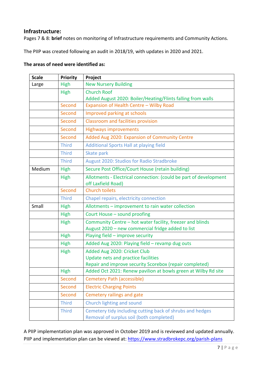#### <span id="page-6-0"></span>**Infrastructure:**

Pages 7 & 8: **brief** notes on monitoring of Infrastructure requirements and Community Actions.

The PIIP was created following an audit in 2018/19, with updates in 2020 and 2021.

#### **The areas of need were identified as:**

| <b>Scale</b>                                 | Priority     | Project                                                           |
|----------------------------------------------|--------------|-------------------------------------------------------------------|
| <b>New Nursery Building</b><br>High<br>Large |              |                                                                   |
|                                              | High         | <b>Church Roof</b>                                                |
|                                              |              | Added August 2020: Boiler/Heating/Flints falling from walls       |
|                                              | Second       | Expansion of Health Centre - Wilby Road                           |
|                                              | Second       | Improved parking at schools                                       |
|                                              | Second       | <b>Classroom and facilities provision</b>                         |
|                                              | Second       | <b>Highways improvements</b>                                      |
|                                              | Second       | Added Aug 2020: Expansion of Community Centre                     |
|                                              | <b>Third</b> | Additional Sports Hall at playing field                           |
|                                              | <b>Third</b> | Skate park                                                        |
|                                              | <b>Third</b> | August 2020: Studios for Radio Stradbroke                         |
| Medium                                       | High         | Secure Post Office/Court House (retain building)                  |
|                                              | High         | Allotments - Electrical connection: (could be part of development |
|                                              |              | off Laxfield Road)                                                |
|                                              | Second       | <b>Church toilets</b>                                             |
|                                              | <b>Third</b> | Chapel repairs, electricity connection                            |
| Small                                        | High         | Allotments - improvement to rain water collection                 |
|                                              | High         | Court House - sound proofing                                      |
|                                              | High         | Community Centre - hot water facility, freezer and blinds         |
|                                              |              | August 2020 - new commercial fridge added to list                 |
|                                              | High         | Playing field - improve security                                  |
|                                              | High         | Added Aug 2020: Playing field - revamp dug outs                   |
|                                              | High         | Added Aug 2020: Cricket Club                                      |
|                                              |              | Update nets and practice facilities                               |
|                                              |              | Repair and improve security Scorebox (repair completed)           |
|                                              | <b>High</b>  | Added Oct 2021: Renew pavilion at bowls green at Wilby Rd site    |
|                                              | Second       | Cemetery Path (accessible)                                        |
|                                              | Second       | <b>Electric Charging Points</b>                                   |
|                                              | Second       | Cemetery railings and gate                                        |
|                                              | <b>Third</b> | Church lighting and sound                                         |
|                                              | <b>Third</b> | Cemetery tidy including cutting back of shrubs and hedges         |
|                                              |              | Removal of surplus soil (both completed)                          |

A PIIP implementation plan was approved in October 2019 and is reviewed and updated annually. PIIP and implementation plan can be viewed at:<https://www.stradbrokepc.org/parish-plans>